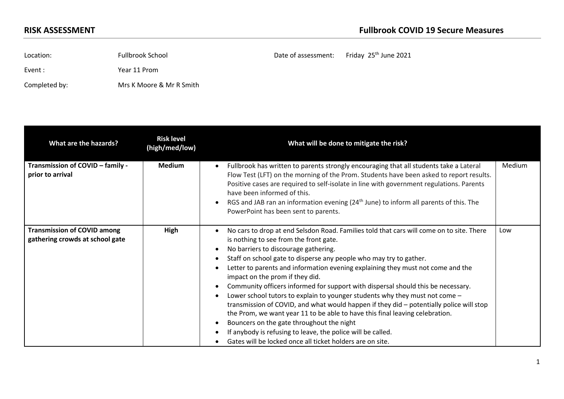Location: Fullbrook School **Example 20** Fullbrook School Date of assessment: Friday  $25<sup>th</sup>$  June 2021 Event : Year 11 Prom

Completed by: Mrs K Moore & Mr R Smith

| What are the hazards?                                                 | <b>Risk level</b><br>(high/med/low) | What will be done to mitigate the risk?                                                                                                                                                                                                                                                                                                                                                                                                                                                                                                                                                                                                                                                                                                                                                                                                                                                       |        |
|-----------------------------------------------------------------------|-------------------------------------|-----------------------------------------------------------------------------------------------------------------------------------------------------------------------------------------------------------------------------------------------------------------------------------------------------------------------------------------------------------------------------------------------------------------------------------------------------------------------------------------------------------------------------------------------------------------------------------------------------------------------------------------------------------------------------------------------------------------------------------------------------------------------------------------------------------------------------------------------------------------------------------------------|--------|
| Transmission of COVID - family -<br>prior to arrival                  | <b>Medium</b>                       | Fullbrook has written to parents strongly encouraging that all students take a Lateral<br>Flow Test (LFT) on the morning of the Prom. Students have been asked to report results.<br>Positive cases are required to self-isolate in line with government regulations. Parents<br>have been informed of this.<br>RGS and JAB ran an information evening $(24th$ June) to inform all parents of this. The<br>PowerPoint has been sent to parents.                                                                                                                                                                                                                                                                                                                                                                                                                                               | Medium |
| <b>Transmission of COVID among</b><br>gathering crowds at school gate | High                                | No cars to drop at end Selsdon Road. Families told that cars will come on to site. There<br>is nothing to see from the front gate.<br>No barriers to discourage gathering.<br>Staff on school gate to disperse any people who may try to gather.<br>Letter to parents and information evening explaining they must not come and the<br>impact on the prom if they did.<br>Community officers informed for support with dispersal should this be necessary.<br>Lower school tutors to explain to younger students why they must not come -<br>transmission of COVID, and what would happen if they did - potentially police will stop<br>the Prom, we want year 11 to be able to have this final leaving celebration.<br>Bouncers on the gate throughout the night<br>If anybody is refusing to leave, the police will be called.<br>Gates will be locked once all ticket holders are on site. | Low    |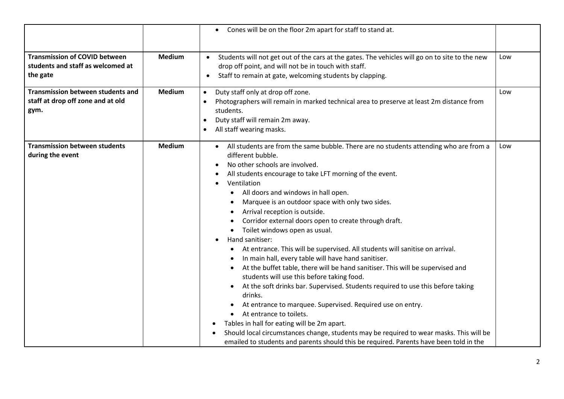|                                                                                       |               | Cones will be on the floor 2m apart for staff to stand at.<br>$\bullet$                                                                                                                                                                                                                                                                                                                                                                                                                                                                                                                                                                                                                                                                                                                                                                                                                                                                                                                                                                                                                                                                                                                            |     |
|---------------------------------------------------------------------------------------|---------------|----------------------------------------------------------------------------------------------------------------------------------------------------------------------------------------------------------------------------------------------------------------------------------------------------------------------------------------------------------------------------------------------------------------------------------------------------------------------------------------------------------------------------------------------------------------------------------------------------------------------------------------------------------------------------------------------------------------------------------------------------------------------------------------------------------------------------------------------------------------------------------------------------------------------------------------------------------------------------------------------------------------------------------------------------------------------------------------------------------------------------------------------------------------------------------------------------|-----|
| <b>Transmission of COVID between</b><br>students and staff as welcomed at<br>the gate | <b>Medium</b> | Students will not get out of the cars at the gates. The vehicles will go on to site to the new<br>$\bullet$<br>drop off point, and will not be in touch with staff.<br>Staff to remain at gate, welcoming students by clapping.<br>$\bullet$                                                                                                                                                                                                                                                                                                                                                                                                                                                                                                                                                                                                                                                                                                                                                                                                                                                                                                                                                       | Low |
| <b>Transmission between students and</b><br>staff at drop off zone and at old<br>gym. | <b>Medium</b> | Duty staff only at drop off zone.<br>$\bullet$<br>Photographers will remain in marked technical area to preserve at least 2m distance from<br>students.<br>Duty staff will remain 2m away.<br>All staff wearing masks.                                                                                                                                                                                                                                                                                                                                                                                                                                                                                                                                                                                                                                                                                                                                                                                                                                                                                                                                                                             | Low |
| <b>Transmission between students</b><br>during the event                              | <b>Medium</b> | • All students are from the same bubble. There are no students attending who are from a<br>different bubble.<br>No other schools are involved.<br>All students encourage to take LFT morning of the event.<br>Ventilation<br>• All doors and windows in hall open.<br>Marquee is an outdoor space with only two sides.<br>Arrival reception is outside.<br>Corridor external doors open to create through draft.<br>Toilet windows open as usual.<br>$\bullet$<br>Hand sanitiser:<br>• At entrance. This will be supervised. All students will sanitise on arrival.<br>In main hall, every table will have hand sanitiser.<br>At the buffet table, there will be hand sanitiser. This will be supervised and<br>students will use this before taking food.<br>At the soft drinks bar. Supervised. Students required to use this before taking<br>drinks.<br>At entrance to marquee. Supervised. Required use on entry.<br>At entrance to toilets.<br>Tables in hall for eating will be 2m apart.<br>$\bullet$<br>Should local circumstances change, students may be required to wear masks. This will be<br>emailed to students and parents should this be required. Parents have been told in the | Low |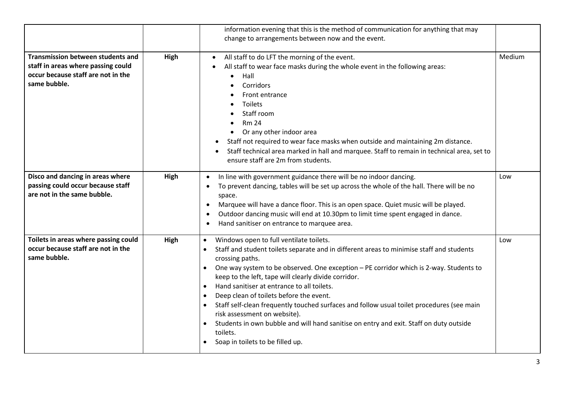|                                                                                                                                      |      | information evening that this is the method of communication for anything that may<br>change to arrangements between now and the event.                                                                                                                                                                                                                                                                                                                                                                                                                                                                                                                                                                                                                |        |
|--------------------------------------------------------------------------------------------------------------------------------------|------|--------------------------------------------------------------------------------------------------------------------------------------------------------------------------------------------------------------------------------------------------------------------------------------------------------------------------------------------------------------------------------------------------------------------------------------------------------------------------------------------------------------------------------------------------------------------------------------------------------------------------------------------------------------------------------------------------------------------------------------------------------|--------|
| <b>Transmission between students and</b><br>staff in areas where passing could<br>occur because staff are not in the<br>same bubble. | High | All staff to do LFT the morning of the event.<br>$\bullet$<br>All staff to wear face masks during the whole event in the following areas:<br>$\bullet$<br>Hall<br>Corridors<br>Front entrance<br>Toilets<br>Staff room<br><b>Rm 24</b><br>Or any other indoor area<br>$\bullet$<br>Staff not required to wear face masks when outside and maintaining 2m distance.<br>Staff technical area marked in hall and marquee. Staff to remain in technical area, set to<br>ensure staff are 2m from students.                                                                                                                                                                                                                                                 | Medium |
| Disco and dancing in areas where<br>passing could occur because staff<br>are not in the same bubble.                                 | High | In line with government guidance there will be no indoor dancing.<br>$\bullet$<br>To prevent dancing, tables will be set up across the whole of the hall. There will be no<br>$\bullet$<br>space.<br>Marquee will have a dance floor. This is an open space. Quiet music will be played.<br>$\bullet$<br>Outdoor dancing music will end at 10.30pm to limit time spent engaged in dance.<br>- 0<br>Hand sanitiser on entrance to marquee area.<br>$\bullet$                                                                                                                                                                                                                                                                                            | Low    |
| Toilets in areas where passing could<br>occur because staff are not in the<br>same bubble.                                           | High | Windows open to full ventilate toilets.<br>$\bullet$<br>Staff and student toilets separate and in different areas to minimise staff and students<br>$\bullet$<br>crossing paths.<br>One way system to be observed. One exception - PE corridor which is 2-way. Students to<br>$\bullet$<br>keep to the left, tape will clearly divide corridor.<br>Hand sanitiser at entrance to all toilets.<br>$\bullet$<br>Deep clean of toilets before the event.<br>$\bullet$<br>Staff self-clean frequently touched surfaces and follow usual toilet procedures (see main<br>risk assessment on website).<br>Students in own bubble and will hand sanitise on entry and exit. Staff on duty outside<br>toilets.<br>Soap in toilets to be filled up.<br>$\bullet$ | Low    |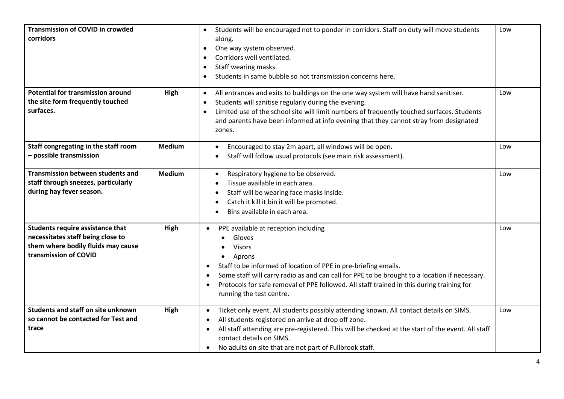| <b>Transmission of COVID in crowded</b><br>corridors                                                                                 |               | Students will be encouraged not to ponder in corridors. Staff on duty will move students<br>$\bullet$<br>along.<br>One way system observed.<br>$\bullet$<br>Corridors well ventilated.<br>$\bullet$<br>Staff wearing masks.<br>$\bullet$<br>Students in same bubble so not transmission concerns here.                                                                                                                     | Low |
|--------------------------------------------------------------------------------------------------------------------------------------|---------------|----------------------------------------------------------------------------------------------------------------------------------------------------------------------------------------------------------------------------------------------------------------------------------------------------------------------------------------------------------------------------------------------------------------------------|-----|
| <b>Potential for transmission around</b><br>the site form frequently touched<br>surfaces.                                            | High          | All entrances and exits to buildings on the one way system will have hand sanitiser.<br>$\bullet$<br>Students will sanitise regularly during the evening.<br>$\bullet$<br>Limited use of the school site will limit numbers of frequently touched surfaces. Students<br>and parents have been informed at info evening that they cannot stray from designated<br>zones.                                                    | Low |
| Staff congregating in the staff room<br>- possible transmission                                                                      | <b>Medium</b> | Encouraged to stay 2m apart, all windows will be open.<br>Staff will follow usual protocols (see main risk assessment).                                                                                                                                                                                                                                                                                                    | Low |
| <b>Transmission between students and</b><br>staff through sneezes, particularly<br>during hay fever season.                          | <b>Medium</b> | Respiratory hygiene to be observed.<br>$\bullet$<br>Tissue available in each area.<br>Staff will be wearing face masks inside.<br>Catch it kill it bin it will be promoted.<br>Bins available in each area.<br>$\bullet$                                                                                                                                                                                                   | Low |
| Students require assistance that<br>necessitates staff being close to<br>them where bodily fluids may cause<br>transmission of COVID | High          | PPE available at reception including<br>$\bullet$<br>Gloves<br><b>Visors</b><br>Aprons<br>Staff to be informed of location of PPE in pre-briefing emails.<br>$\bullet$<br>Some staff will carry radio as and can call for PPE to be brought to a location if necessary.<br>$\bullet$<br>Protocols for safe removal of PPE followed. All staff trained in this during training for<br>$\bullet$<br>running the test centre. | Low |
| <b>Students and staff on site unknown</b><br>so cannot be contacted for Test and<br>trace                                            | High          | Ticket only event. All students possibly attending known. All contact details on SIMS.<br>$\bullet$<br>All students registered on arrive at drop off zone.<br>$\bullet$<br>All staff attending are pre-registered. This will be checked at the start of the event. All staff<br>$\bullet$<br>contact details on SIMS.<br>No adults on site that are not part of Fullbrook staff.<br>$\bullet$                              | Low |